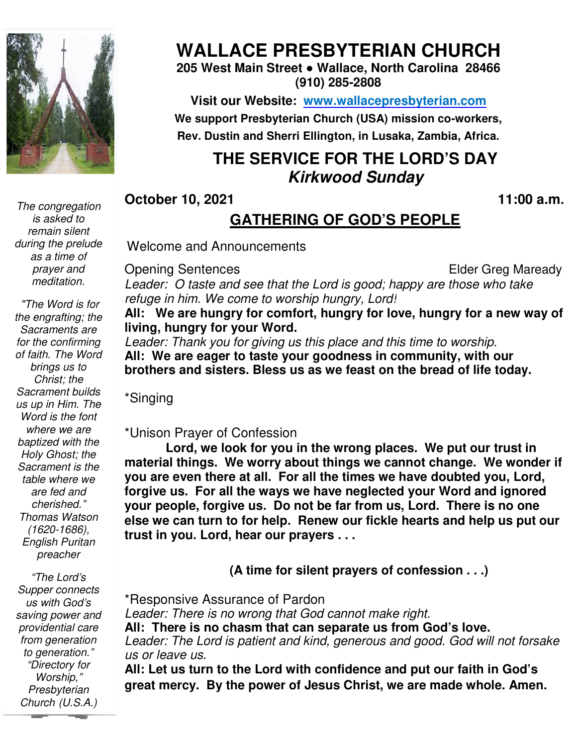

*The congregation is asked to remain silent during the prelude as a time of prayer and meditation.* 

 *"The Word is for the engrafting; the Sacraments are for the confirming of faith. The Word brings us to Christ; the Sacrament builds us up in Him. The Word is the font where we are baptized with the Holy Ghost; the Sacrament is the table where we are fed and cherished." Thomas Watson (1620-1686), English Puritan preacher* 

 *to generation." "The Lord's Supper connects us with God's saving power and providential care from generation "Directory for Worship," Presbyterian Church (U.S.A.)* 

## **WALLACE PRESBYTERIAN CHURCH**

**205 West Main Street ● Wallace, North Carolina 28466 (910) 285-2808** 

**Visit our Website: www.wallacepresbyterian.com** We support Presbyterian Church (USA) mission co-workers, **Rev. Dustin and Sherri Ellington, in Lusaka, Zambia, Africa. Sherri Ellington,** 

### **THE SERVICE FOR THE LORD'S DAY Kirkwood Sunday**

**October 10, 2021** 

#### **, 2021 11:00 a.m .**

#### **GATHERING OF GOD'S PEOPLE**

Welcome and Announcements

Opening Sentences

**Elder Greg Maready** 

Leader: O taste and see that the Lord is good; happy are those who take *refuge in him. We come to worship hungry, Lord!*

All: We are hungry for comfort, hungry for love, hungry for a new way of **living, hungry for your Word. hungry for** 

Leader: Thank you for giving us this place and this time to worship. All: We are eager to taste your goodness in community, with our **brothers and sisters. Bless us as we feast on the bread of life today. as** a new wa<br><sup>*ip.*<br>n our<br>e today.<br>r trust in</sup>

\*Singing

\*Unison Prayer of Confession

Lord, we look for you in the wrong places. We put our trust material things. We worry about things we cannot change. We wonder if you are even there at all. For all the times we have doubted you, Lord, forgive us. For all the ways we have neglected your Word and ignored **your people, forgive us. forgive us. Do not be far from us, Lord. There is no one**  else we can turn to for help. Renew our fickle hearts and help us put our trust in you. Lord, hear our prayers . . .

 **(A time for silent prayers of confession . . .)**

\*Responsive Assurance Assurance of Pardon Leader: There is no wrong that God cannot make right. **All: There is no chasm chasm that can separate us from God's love.** Leader: The Lord is patient and kind, generous and good. God will not forsake *us or leave us.* All: Let us turn to the Lord with confidence and put our faith in God's

**great mercy. By the power of Jesus Christ, we are made whole. Amen.**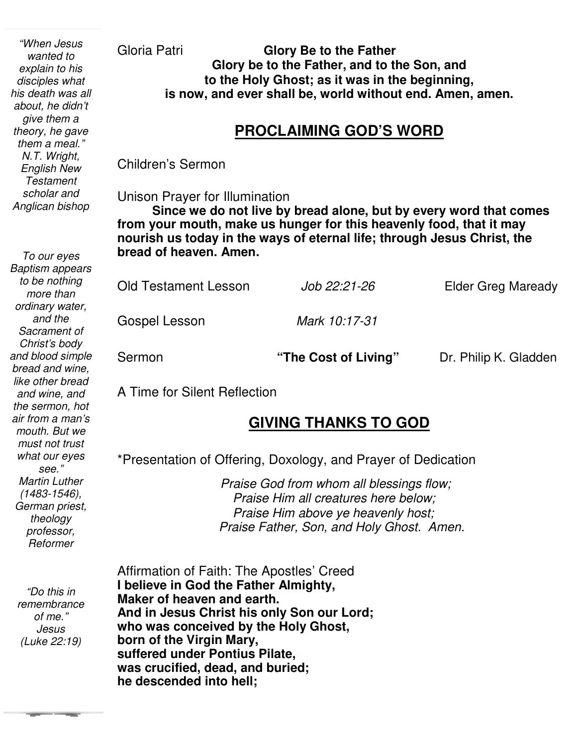*"When Jesus wanted to explain to his disciples what his death was all about, he didn't give them a theory, he gave them a meal." N.T. Wright, English New Testament scholar and Anglican bishop* 

*To our eyes Baptism appears to be nothing more than ordinary water, and the Sacrament of Christ's body and blood simple bread and wine, like other bread and wine, and the sermon, hot air from a man's mouth. But we must not trust what our eyes see." Martin Luther (1483-1546), German priest, theology professor, Reformer* 

*"Do this in remembrance of me." Jesus (Luke 22:19)* 

Gloria Patri **Glory Be to the Father Glory be to the Father, and to the Son, and to the Holy Ghost; as it was in the beginning, is now, and ever shall be, world without end. Amen, amen.** 

#### **PROCLAIMING GOD'S WORD**

Children's Sermon

Unison Prayer for Illumination

٦  **from your mouth, make us hunger for this heavenly food, that it may Since we do not live by bread alone, but by every word that comes nourish us today in the ways of eternal life; through Jesus Christ, the bread of heaven. Amen.**

| <b>Old Testament Lesson</b> | Job 22:21-26  | <b>Elder Greg Maready</b> |
|-----------------------------|---------------|---------------------------|
| Gospel Lesson               | Mark 10:17-31 |                           |

Sermon **The Cost of Living"** Dr. Philip K. Gladden

A Time for Silent Reflection

## **GIVING THANKS TO GOD**

\*Presentation of Offering, Doxology, and Prayer of Dedication

 *Praise God from whom all blessings flow; Praise Him all creatures here below; Praise Him above ye heavenly host; Praise Father, Son, and Holy Ghost. Amen.* 

 Affirmation of Faith: The Apostles' Creed **I believe in God the Father Almighty, Maker of heaven and earth. And in Jesus Christ his only Son our Lord; who was conceived by the Holy Ghost, born of the Virgin Mary, suffered under Pontius Pilate, was crucified, dead, and buried; he descended into hell;**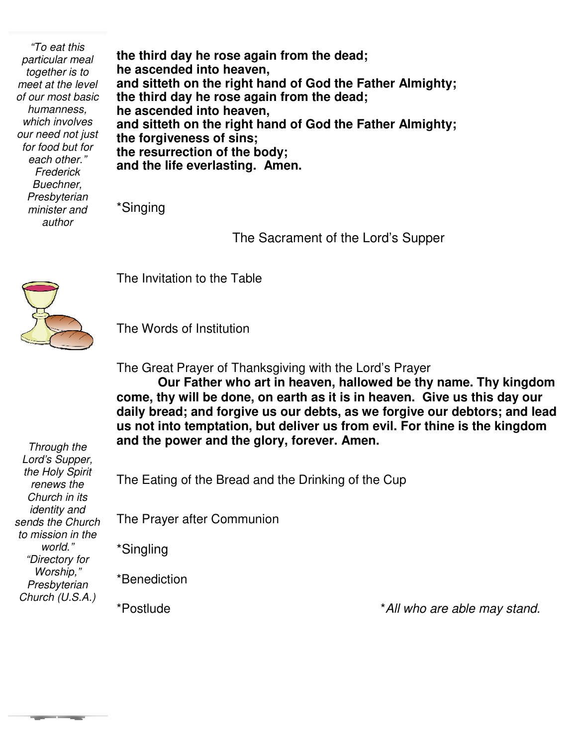*"To eat this particular meal together is to meet at the level of our most basic humanness, which involves our need not just for food but for each other." Frederick Buechner, Presbyterian minister and author* 

**the third day he rose again from the dead; he ascended into heaven, and sitteth on the right hand of God the Father Almighty; the third day he rose again from the dead; he ascended into heaven, and sitteth on the right hand of God the Father Almighty; the forgiveness of sins; the resurrection of the body; and the life everlasting. Amen.** 

\*Singing

The Sacrament of the Lord's Supper



The Invitation to the Table

The Words of Institution

The Great Prayer of Thanksgiving with the Lord's Prayer

**Our Father who art in heaven, hallowed be thy name. Thy kingdom come, thy will be done, on earth as it is in heaven. Give us this day our daily bread; and forgive us our debts, as we forgive our debtors; and lead us not into temptation, but deliver us from evil. For thine is the kingdom and the power and the glory, forever. Amen.** 

*Through the Lord's Supper, the Holy Spirit renews the Church in its identity and sends the Church to mission in the world." "Directory for Worship," Presbyterian Church (U.S.A.)* 

**The Color** 

The Eating of the Bread and the Drinking of the Cup

The Prayer after Communion

\*Singling

\*Benediction

\*Postlude \**All who are able may stand.*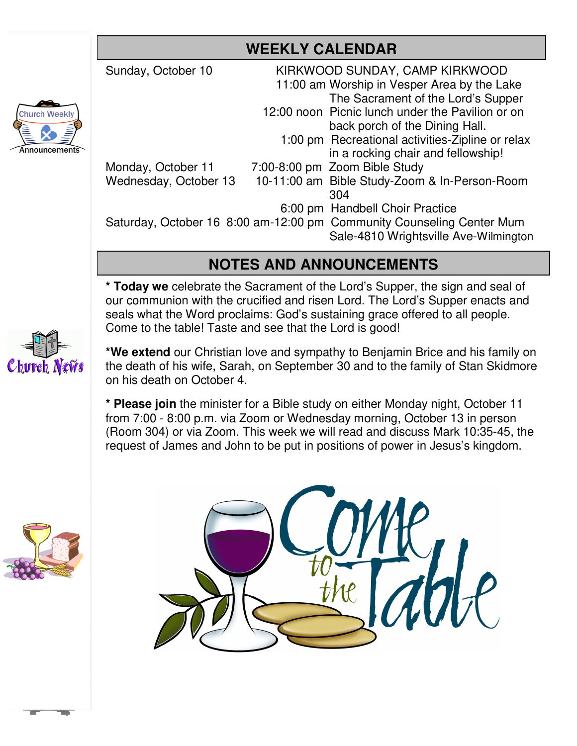| Sunday, October 10    | KIRKWOOD SUNDAY, CAMP KIRKWOOD                                        |                                       |  |
|-----------------------|-----------------------------------------------------------------------|---------------------------------------|--|
|                       | 11:00 am Worship in Vesper Area by the Lake                           |                                       |  |
|                       |                                                                       | The Sacrament of the Lord's Supper    |  |
|                       | 12:00 noon Picnic lunch under the Pavilion or on                      |                                       |  |
|                       | back porch of the Dining Hall.                                        |                                       |  |
|                       | 1:00 pm Recreational activities-Zipline or relax                      |                                       |  |
|                       |                                                                       | in a rocking chair and fellowship!    |  |
| Monday, October 11    | 7:00-8:00 pm Zoom Bible Study                                         |                                       |  |
| Wednesday, October 13 | 10-11:00 am Bible Study-Zoom & In-Person-Room                         |                                       |  |
|                       | 304                                                                   |                                       |  |
|                       | 6:00 pm Handbell Choir Practice                                       |                                       |  |
|                       | Saturday, October 16 8:00 am-12:00 pm Community Counseling Center Mum |                                       |  |
|                       |                                                                       | Sale-4810 Wrightsville Ave-Wilmington |  |
|                       |                                                                       |                                       |  |

### **NOTES AND ANNOUNCEMENTS**

**\* Today we** celebrate the Sacrament of the Lord's Supper, the sign and seal of our communion with the crucified and risen Lord. The Lord's Supper enacts and seals what the Word proclaims: God's sustaining grace offered to all people. Come to the table! Taste and see that the Lord is good!



**Church Weekly** 

**\*We extend** our Christian love and sympathy to Benjamin Brice and his family on the death of his wife, Sarah, on September 30 and to the family of Stan Skidmore on his death on October 4.

**\* Please join** the minister for a Bible study on either Monday night, October 11 from 7:00 - 8:00 p.m. via Zoom or Wednesday morning, October 13 in person (Room 304) or via Zoom. This week we will read and discuss Mark 10:35-45, the request of James and John to be put in positions of power in Jesus's kingdom.



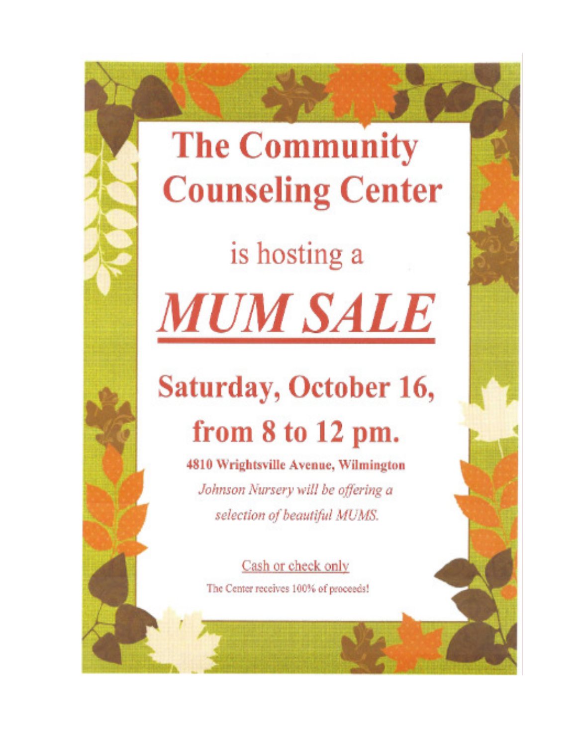# **The Community Counseling Center**

is hosting a **MUM SALE** 

# **Saturday, October 16,** from 8 to 12 pm.

4810 Wrightsville Avenue, Wilmington Johnson Nursery will be offering a selection of beautiful MUMS.

Cash or check only The Center receives 100% of proceeds!